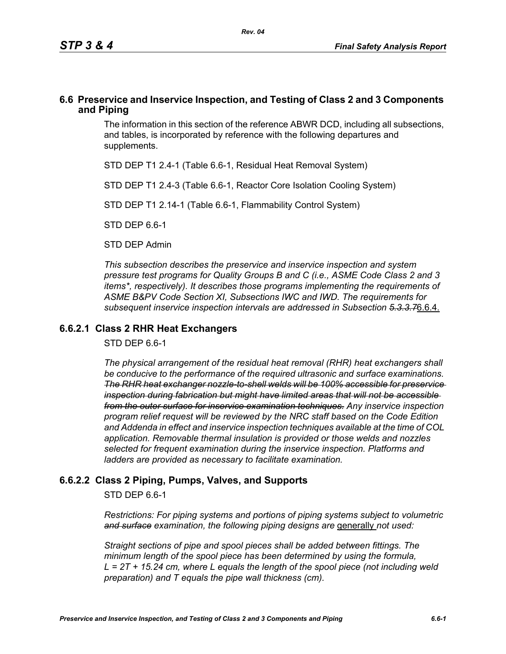### **6.6 Preservice and Inservice Inspection, and Testing of Class 2 and 3 Components and Piping**

The information in this section of the reference ABWR DCD, including all subsections, and tables, is incorporated by reference with the following departures and supplements.

STD DEP T1 2.4-1 (Table 6.6-1, Residual Heat Removal System)

STD DEP T1 2.4-3 (Table 6.6-1, Reactor Core Isolation Cooling System)

STD DEP T1 2.14-1 (Table 6.6-1, Flammability Control System)

STD DEP 6.6-1

STD DEP Admin

*This subsection describes the preservice and inservice inspection and system pressure test programs for Quality Groups B and C (i.e., ASME Code Class 2 and 3 items\*, respectively). It describes those programs implementing the requirements of ASME B&PV Code Section XI, Subsections IWC and IWD. The requirements for subsequent inservice inspection intervals are addressed in Subsection 5.3.3.7*6.6.4.

### **6.6.2.1 Class 2 RHR Heat Exchangers**

STD DEP 6.6-1

*The physical arrangement of the residual heat removal (RHR) heat exchangers shall be conducive to the performance of the required ultrasonic and surface examinations. The RHR heat exchanger nozzle-to-shell welds will be 100% accessible for preservice inspection during fabrication but might have limited areas that will not be accessible from the outer surface for inservice examination techniques. Any inservice inspection program relief request will be reviewed by the NRC staff based on the Code Edition and Addenda in effect and inservice inspection techniques available at the time of COL application. Removable thermal insulation is provided or those welds and nozzles selected for frequent examination during the inservice inspection. Platforms and ladders are provided as necessary to facilitate examination.*

# **6.6.2.2 Class 2 Piping, Pumps, Valves, and Supports**

STD DEP 6.6-1

*Restrictions: For piping systems and portions of piping systems subject to volumetric*  and surface examination, the following piping designs are *generally not used:* 

*Straight sections of pipe and spool pieces shall be added between fittings. The minimum length of the spool piece has been determined by using the formula, L = 2T + 15.24 cm, where L equals the length of the spool piece (not including weld preparation) and T equals the pipe wall thickness (cm).*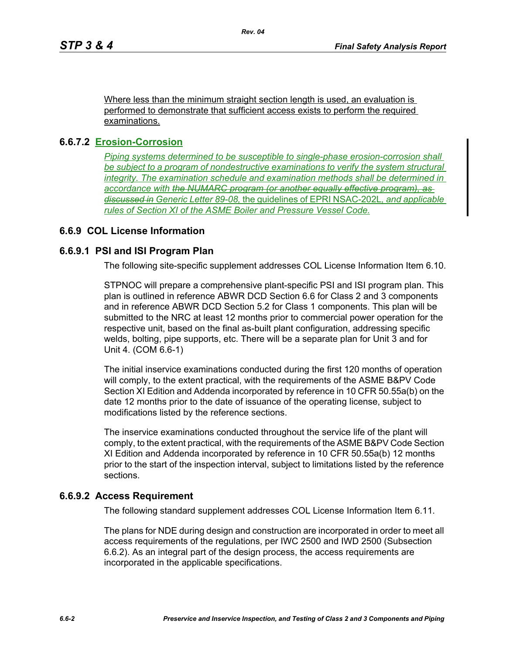Where less than the minimum straight section length is used, an evaluation is performed to demonstrate that sufficient access exists to perform the required examinations.

### **6.6.7.2 Erosion-Corrosion**

*Piping systems determined to be susceptible to single-phase erosion-corrosion shall be subject to a program of nondestructive examinations to verify the system structural integrity. The examination schedule and examination methods shall be determined in accordance with the NUMARC program (or another equally effective program), as discussed in Generic Letter 89-08,* the guidelines of EPRI NSAC-202L*, and applicable rules of Section XI of the ASME Boiler and Pressure Vessel Code.*

# **6.6.9 COL License Information**

# **6.6.9.1 PSI and ISI Program Plan**

The following site-specific supplement addresses COL License Information Item 6.10.

STPNOC will prepare a comprehensive plant-specific PSI and ISI program plan. This plan is outlined in reference ABWR DCD Section 6.6 for Class 2 and 3 components and in reference ABWR DCD Section 5.2 for Class 1 components. This plan will be submitted to the NRC at least 12 months prior to commercial power operation for the respective unit, based on the final as-built plant configuration, addressing specific welds, bolting, pipe supports, etc. There will be a separate plan for Unit 3 and for Unit 4. (COM 6.6-1)

The initial inservice examinations conducted during the first 120 months of operation will comply, to the extent practical, with the requirements of the ASME B&PV Code Section XI Edition and Addenda incorporated by reference in 10 CFR 50.55a(b) on the date 12 months prior to the date of issuance of the operating license, subject to modifications listed by the reference sections.

The inservice examinations conducted throughout the service life of the plant will comply, to the extent practical, with the requirements of the ASME B&PV Code Section XI Edition and Addenda incorporated by reference in 10 CFR 50.55a(b) 12 months prior to the start of the inspection interval, subject to limitations listed by the reference sections.

### **6.6.9.2 Access Requirement**

The following standard supplement addresses COL License Information Item 6.11.

The plans for NDE during design and construction are incorporated in order to meet all access requirements of the regulations, per IWC 2500 and IWD 2500 (Subsection 6.6.2). As an integral part of the design process, the access requirements are incorporated in the applicable specifications.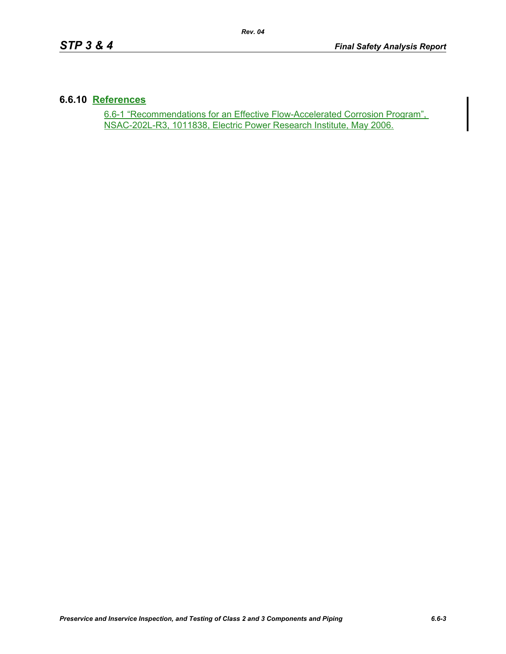#### **6.6.10 References**

6.6-1 "Recommendations for an Effective Flow-Accelerated Corrosion Program", NSAC-202L-R3, 1011838, Electric Power Research Institute, May 2006.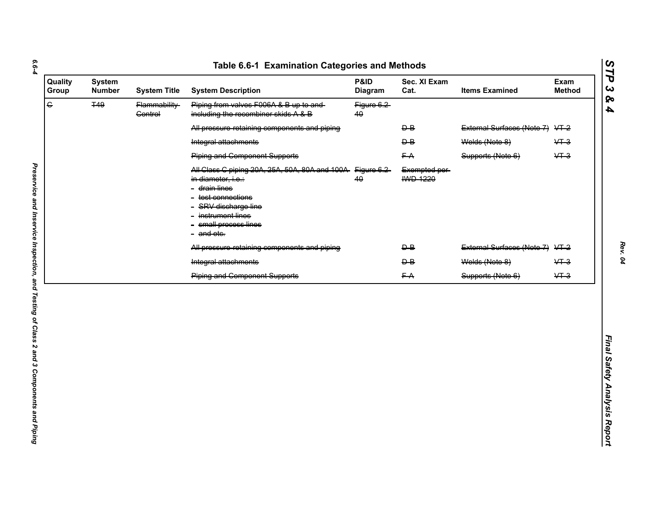| $\overline{G}$<br><b>T49</b><br>Piping from valves F006A & B up to and-<br>Flammability-<br>Figure 6.2<br>including the recombiner skids A & B<br><b>Control</b><br>40<br>All pressure retaining components and piping<br>$\overline{P}$<br>$\overline{B}$<br>Welds (Note 8)<br>Integral attachments<br><b>Piping and Component Supports</b><br>FA<br>Supports (Note 6)<br>All Class C piping 20A, 25A, 50A, 80A and 100A Figure 6.2<br>Exempted per-<br><b>IWD 1220</b><br>40<br>in diameter, i.e.:<br>- <del>drain lines</del><br>- <del>test connections</del><br>- SRV discharge line<br>instrument lines<br>- small process lines<br>- and etc. | External Surfaces (Note 7) VT-2<br>$&+3$<br>$&+3$<br>External Surfaces (Note 7) VT-2<br>$\overline{B}$<br>Welds (Note 8)<br>$&+3$<br>$\overline{P}$<br>$&+3$ |
|------------------------------------------------------------------------------------------------------------------------------------------------------------------------------------------------------------------------------------------------------------------------------------------------------------------------------------------------------------------------------------------------------------------------------------------------------------------------------------------------------------------------------------------------------------------------------------------------------------------------------------------------------|--------------------------------------------------------------------------------------------------------------------------------------------------------------|
|                                                                                                                                                                                                                                                                                                                                                                                                                                                                                                                                                                                                                                                      |                                                                                                                                                              |
|                                                                                                                                                                                                                                                                                                                                                                                                                                                                                                                                                                                                                                                      |                                                                                                                                                              |
|                                                                                                                                                                                                                                                                                                                                                                                                                                                                                                                                                                                                                                                      |                                                                                                                                                              |
|                                                                                                                                                                                                                                                                                                                                                                                                                                                                                                                                                                                                                                                      |                                                                                                                                                              |
|                                                                                                                                                                                                                                                                                                                                                                                                                                                                                                                                                                                                                                                      |                                                                                                                                                              |
| All pressure retaining components and piping                                                                                                                                                                                                                                                                                                                                                                                                                                                                                                                                                                                                         |                                                                                                                                                              |
| Integral attachments                                                                                                                                                                                                                                                                                                                                                                                                                                                                                                                                                                                                                                 |                                                                                                                                                              |
| <b>Piping and Component Supports</b><br>FA<br>Supports (Note 6)                                                                                                                                                                                                                                                                                                                                                                                                                                                                                                                                                                                      |                                                                                                                                                              |

*STP 3 & 4*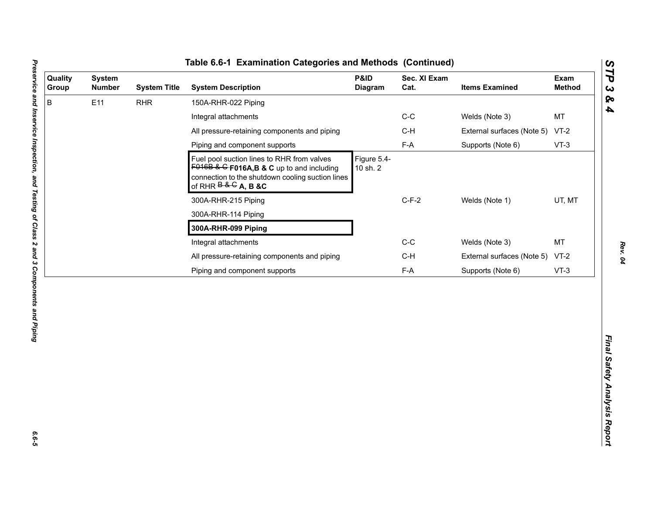| B<br>E11<br><b>RHR</b><br>150A-RHR-022 Piping<br>$C-C$<br>Welds (Note 3)<br>Integral attachments<br>All pressure-retaining components and piping<br>$C-H$<br>External surfaces (Note 5)<br>$F-A$<br>Piping and component supports<br>Supports (Note 6)<br>Figure 5.4-<br>Fuel pool suction lines to RHR from valves<br>$F016B$ & G F016A, B & C up to and including<br>10 sh. 2<br>connection to the shutdown cooling suction lines<br>of RHR $B & G$ A, B &C<br>$C-F-2$<br>Welds (Note 1)<br>300A-RHR-215 Piping<br>300A-RHR-114 Piping<br>300A-RHR-099 Piping<br>$C-C$<br>Integral attachments<br>Welds (Note 3) | MT<br>$VT-2$<br>$VT-3$<br>UT, MT<br><b>MT</b><br>$C-H$<br>External surfaces (Note 5)<br>$VT-2$<br>$F-A$<br>Supports (Note 6)<br>$VT-3$ | Quality<br>Group | <b>System</b><br><b>Number</b> | <b>System Title</b> | <b>System Description</b>                    | P&ID<br>Diagram | Sec. XI Exam<br>Cat. | <b>Items Examined</b> | Exam<br><b>Method</b> |
|--------------------------------------------------------------------------------------------------------------------------------------------------------------------------------------------------------------------------------------------------------------------------------------------------------------------------------------------------------------------------------------------------------------------------------------------------------------------------------------------------------------------------------------------------------------------------------------------------------------------|----------------------------------------------------------------------------------------------------------------------------------------|------------------|--------------------------------|---------------------|----------------------------------------------|-----------------|----------------------|-----------------------|-----------------------|
|                                                                                                                                                                                                                                                                                                                                                                                                                                                                                                                                                                                                                    |                                                                                                                                        |                  |                                |                     |                                              |                 |                      |                       |                       |
|                                                                                                                                                                                                                                                                                                                                                                                                                                                                                                                                                                                                                    |                                                                                                                                        |                  |                                |                     |                                              |                 |                      |                       |                       |
|                                                                                                                                                                                                                                                                                                                                                                                                                                                                                                                                                                                                                    |                                                                                                                                        |                  |                                |                     |                                              |                 |                      |                       |                       |
|                                                                                                                                                                                                                                                                                                                                                                                                                                                                                                                                                                                                                    |                                                                                                                                        |                  |                                |                     |                                              |                 |                      |                       |                       |
|                                                                                                                                                                                                                                                                                                                                                                                                                                                                                                                                                                                                                    |                                                                                                                                        |                  |                                |                     |                                              |                 |                      |                       |                       |
|                                                                                                                                                                                                                                                                                                                                                                                                                                                                                                                                                                                                                    |                                                                                                                                        |                  |                                |                     |                                              |                 |                      |                       |                       |
|                                                                                                                                                                                                                                                                                                                                                                                                                                                                                                                                                                                                                    |                                                                                                                                        |                  |                                |                     |                                              |                 |                      |                       |                       |
|                                                                                                                                                                                                                                                                                                                                                                                                                                                                                                                                                                                                                    |                                                                                                                                        |                  |                                |                     |                                              |                 |                      |                       |                       |
|                                                                                                                                                                                                                                                                                                                                                                                                                                                                                                                                                                                                                    |                                                                                                                                        |                  |                                |                     |                                              |                 |                      |                       |                       |
|                                                                                                                                                                                                                                                                                                                                                                                                                                                                                                                                                                                                                    |                                                                                                                                        |                  |                                |                     | All pressure-retaining components and piping |                 |                      |                       |                       |
| Piping and component supports                                                                                                                                                                                                                                                                                                                                                                                                                                                                                                                                                                                      |                                                                                                                                        |                  |                                |                     |                                              |                 |                      |                       |                       |

L

*STP 3 & 4*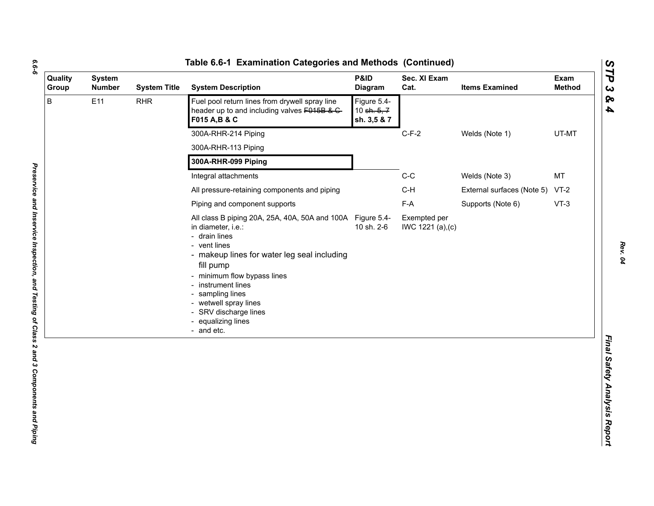| ۰,<br>۰. |
|----------|
|          |
| ۰.       |
|          |

| Quality<br>Group | <b>System</b><br><b>Number</b> | <b>System Title</b>                                                                                             | <b>System Description</b>                                                                                                                                                                                                                                                                                                                    | P&ID<br>Diagram | Sec. XI Exam<br>Cat.              | <b>Items Examined</b>           | Exam<br><b>Method</b> |
|------------------|--------------------------------|-----------------------------------------------------------------------------------------------------------------|----------------------------------------------------------------------------------------------------------------------------------------------------------------------------------------------------------------------------------------------------------------------------------------------------------------------------------------------|-----------------|-----------------------------------|---------------------------------|-----------------------|
| B<br>E11         | <b>RHR</b>                     | Fuel pool return lines from drywell spray line<br>header up to and including valves F015B & C-<br>F015 A, B & C | Figure 5.4-<br>10 sh. 5, 7<br>sh. 3,5 & 7                                                                                                                                                                                                                                                                                                    |                 |                                   |                                 |                       |
|                  |                                |                                                                                                                 | 300A-RHR-214 Piping                                                                                                                                                                                                                                                                                                                          |                 | $C-F-2$                           | Welds (Note 1)                  | UT-MT                 |
|                  |                                |                                                                                                                 | 300A-RHR-113 Piping                                                                                                                                                                                                                                                                                                                          |                 |                                   |                                 |                       |
|                  |                                | 300A-RHR-099 Piping                                                                                             |                                                                                                                                                                                                                                                                                                                                              |                 |                                   |                                 |                       |
|                  |                                |                                                                                                                 | Integral attachments                                                                                                                                                                                                                                                                                                                         |                 | $C-C$                             | Welds (Note 3)                  | MT                    |
|                  |                                |                                                                                                                 | All pressure-retaining components and piping                                                                                                                                                                                                                                                                                                 |                 | $C-H$                             | External surfaces (Note 5) VT-2 |                       |
|                  |                                | Piping and component supports                                                                                   |                                                                                                                                                                                                                                                                                                                                              | F-A             | Supports (Note 6)                 | $VT-3$                          |                       |
|                  |                                |                                                                                                                 | All class B piping 20A, 25A, 40A, 50A and 100A Figure 5.4-<br>in diameter, i.e.:<br>- drain lines<br>- vent lines<br>- makeup lines for water leg seal including<br>fill pump<br>- minimum flow bypass lines<br>- instrument lines<br>- sampling lines<br>- wetwell spray lines<br>- SRV discharge lines<br>- equalizing lines<br>- and etc. | 10 sh. 2-6      | Exempted per<br>IWC 1221 (a), (c) |                                 |                       |
|                  |                                |                                                                                                                 |                                                                                                                                                                                                                                                                                                                                              |                 |                                   |                                 |                       |

*STP 3 & 4*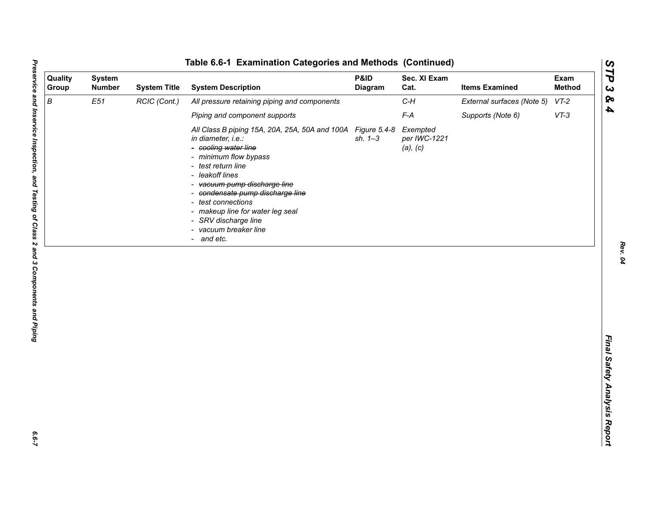| Quality<br>Group | <b>System</b><br><b>Number</b> | <b>System Title</b> | <b>System Description</b>                                                                                                                                                                                                                                                                                                                                                | P&ID<br>Diagram | Sec. XI Exam<br>Cat.                 | <b>Items Examined</b>      | Exam<br><b>Method</b> |
|------------------|--------------------------------|---------------------|--------------------------------------------------------------------------------------------------------------------------------------------------------------------------------------------------------------------------------------------------------------------------------------------------------------------------------------------------------------------------|-----------------|--------------------------------------|----------------------------|-----------------------|
| $\boldsymbol{B}$ | E51                            | RCIC (Cont.)        | All pressure retaining piping and components                                                                                                                                                                                                                                                                                                                             |                 | $C-H$                                | External surfaces (Note 5) | $VT-2$                |
|                  |                                |                     | Piping and component supports                                                                                                                                                                                                                                                                                                                                            |                 | $F-A$                                | Supports (Note 6)          | $VT-3$                |
|                  |                                |                     | All Class B piping 15A, 20A, 25A, 50A and 100A Figure 5.4-8<br>in diameter, i.e.:<br>- cooling water line<br>- minimum flow bypass<br>- test return line<br>- leakoff lines<br>- vacuum pump discharge line<br>- condensate pump discharge line<br>- test connections<br>- makeup line for water leg seal<br>- SRV discharge line<br>- vacuum breaker line<br>- and etc. | $sh. 1 - 3$     | Exempted<br>per IWC-1221<br>(a), (c) |                            |                       |
|                  |                                |                     |                                                                                                                                                                                                                                                                                                                                                                          |                 |                                      |                            |                       |

 $6.6 - 7$ 

*Rev. 04*